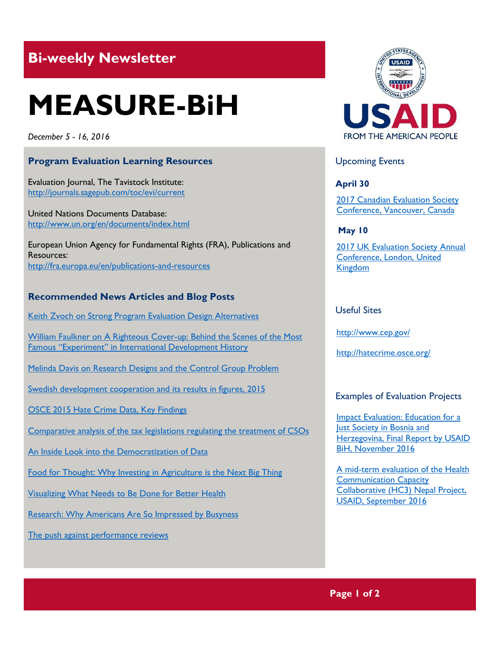# **Bi-weekly Newsletter**

# **MEASURE-BiH**

*December 5 - 16, 2016*

#### **Program Evaluation Learning Resources**

Evaluation Journal, The Tavistock Institute: <http://journals.sagepub.com/toc/evi/current>

United Nations Documents Database: http://www.un.org/en/documents/index.html

European Union Agency for Fundamental Rights (FRA), Publications and Resources: http://fra.europa.eu/en/publications-and-resources

## **Recommended News Articles and Blog Posts**

[Keith Zvoch on Strong Program Evaluation Design Alternatives](http://aea365.org/blog/experiments-tig-week-keith-zvoch-on-strong-program-evaluation-design-alternatives/?utm_source=feedburner&utm_medium=feed&utm_campaign=Feed%3A+aea365+%28AEA365%29)

William Faulkner on A Righteous Cover-up: Behind the Scenes of the Most Famous ["Experiment" in International Development History](http://aea365.org/blog/experiments-tig-week-william-faulkner-on-a-righteous-cover-up-behind-the-scenes-of-the-most-famous-experiment-in-international-development-history/?utm_source=feedburner&utm_medium=feed&utm_campaign=Feed%3A+aea365+%28AEA365%29)

[Melinda Davis on Research Designs and the Control Group Problem](http://aea365.org/blog/experiments-tig-week-melinda-davis-on-research-designs-and-the-control-group-problem/?utm_source=feedburner&utm_medium=feed&utm_campaign=Feed%3A+aea365+%28AEA365%29)

[Swedish development cooperation and its results in figures, 2015](http://www.sida.se/contentassets/1dacaf6f17f448a1889cc71dffab74fa/246e1575-b6a1-4905-bb50-41585dca368d.pdf)

[OSCE 2015 Hate Crime Data, Key Findings](http://hatecrime.osce.org/sites/default/files/documents/Website/Infographics/2015-hatecrimedata.pdf)

[Comparative analysis of the tax legislations regulating the treatment of CSOs](http://tacso.org/news/events/?id=14575)

[An Inside Look into the Democratization of Data](http://www.kpcb.com/blog/an-inside-look-into-the-democratization-of-data)

[Food for Thought: Why Investing in Agriculture is the Next Big Thing](http://www.kpcb.com/blog/food-for-thought-why-investing-in-agriculture-is-the-next-big-thing)

[Visualizing What Needs to Be Done for Better Health](https://www.measureevaluation.org/news/visualizing-what-needs-to-be-done-for-better-health)

[Research: Why Americans Are So Impressed by Busyness](https://hbr.org/2016/12/research-why-americans-are-so-impressed-by-busyness)

[The push against performance reviews](http://www.newyorker.com/business/currency/the-push-against-performance-reviews)



#### Upcoming Events

**April 30**

[2017 Canadian Evaluation Society](http://mande.co.uk/conferences/?event_id1=29)  [Conference, Vancouver, Canada](http://mande.co.uk/conferences/?event_id1=29)

**May 10**

2017 UK Evaluation Society Annual [Conference, London, United](http://mande.co.uk/conferences/?event_id1=30)  [Kingdom](http://mande.co.uk/conferences/?event_id1=30)

#### Useful Sites

<http://www.cep.gov/>

<http://hatecrime.osce.org/>

#### Examples of Evaluation Projects

[Impact Evaluation: Education for a](http://pdf.usaid.gov/pdf_docs/pa00mfpz.pdf)  [Just Society in Bosnia and](http://pdf.usaid.gov/pdf_docs/pa00mfpz.pdf)  [Herzegovina, Final Report by USAID](http://pdf.usaid.gov/pdf_docs/pa00mfpz.pdf)  [BiH, November 2016](http://pdf.usaid.gov/pdf_docs/pa00mfpz.pdf)

[A mid-term evaluation of the Health](http://pdf.usaid.gov/pdf_docs/pa00mfkf.pdf)  [Communication Capacity](http://pdf.usaid.gov/pdf_docs/pa00mfkf.pdf)  [Collaborative \(HC3\)](http://pdf.usaid.gov/pdf_docs/pa00mfkf.pdf) Nepal Project, [USAID, September 2016](http://pdf.usaid.gov/pdf_docs/pa00mfkf.pdf)